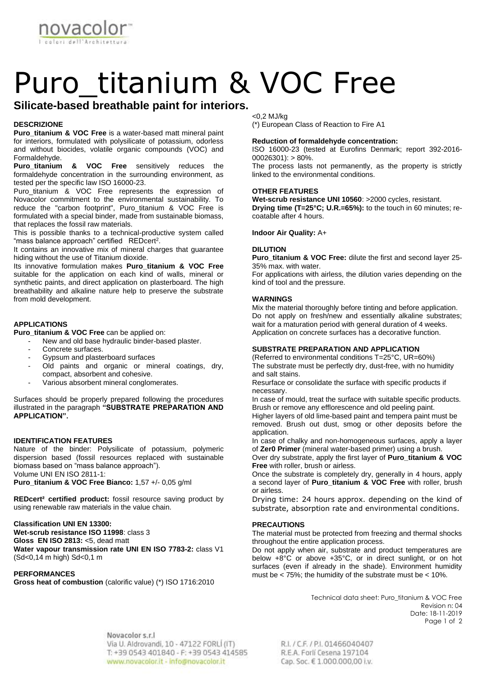**IOVACC** 

# Puro titanium & VOC Free

# **Silicate-based breathable paint for interiors.**

# **DESCRIZIONE**

**Puro\_titanium & VOC Free** is a water-based matt mineral paint for interiors, formulated with polysilicate of potassium, odorless and without biocides, volatile organic compounds (VOC) and Formaldehyde.

**Puro\_titanium & VOC Free** sensitively reduces the formaldehyde concentration in the surrounding environment, as tested per the specific law ISO 16000-23.

Puro\_titanium & VOC Free represents the expression of Novacolor commitment to the environmental sustainability. To reduce the "carbon footprint", Puro\_titanium & VOC Free is formulated with a special binder, made from sustainable biomass, that replaces the fossil raw materials.

This is possible thanks to a technical-productive system called "mass balance approach" certified  $\,$  REDcert $^2$ .

It contains an innovative mix of mineral charges that guarantee hiding without the use of Titanium dioxide.

Its innovative formulation makes **Puro\_titanium & VOC Free** suitable for the application on each kind of walls, mineral or synthetic paints, and direct application on plasterboard. The high breathability and alkaline nature help to preserve the substrate from mold development.

# **APPLICATIONS**

**Puro\_titanium & VOC Free** can be applied on:

- New and old base hydraulic binder-based plaster.
- Concrete surfaces.<br>- Gynsum and plaste
- Gypsum and plasterboard surfaces
- Old paints and organic or mineral coatings, dry, compact, absorbent and cohesive.
- Various absorbent mineral conglomerates.

Surfaces should be properly prepared following the procedures illustrated in the paragraph **"SUBSTRATE PREPARATION AND APPLICATION".**

#### **IDENTIFICATION FEATURES**

Nature of the binder: Polysilicate of potassium, polymeric dispersion based (fossil resources replaced with sustainable biomass based on "mass balance approach"). Volume UNI EN ISO 2811-1: **Puro\_titanium & VOC Free Bianco:** 1,57 +/- 0,05 g/ml

**REDcert² certified product:** fossil resource saving product by using renewable raw materials in the value chain.

# **Classification UNI EN 13300:**

**Wet-scrub resistance ISO 11998**: class 3 **Gloss EN ISO 2813:** <5, dead matt **Water vapour transmission rate UNI EN ISO 7783-2:** class V1 (Sd<0,14 m high) Sd<0,1 m

#### **PERFORMANCES**

**Gross heat of combustion** (calorific value) (\*) ISO 1716:2010

<0,2 MJ/kg

(\*) European Class of Reaction to Fire A1

#### **Reduction of formaldehyde concentration:**

ISO 16000-23 (tested at Eurofins Denmark; report 392-2016-  $00026301$ : > 80%.

The process lasts not permanently, as the property is strictly linked to the environmental conditions.

# **OTHER FEATURES**

**Wet-scrub resistance UNI 10560**: >2000 cycles, resistant. **Drying time (T=25°C; U.R.=65%):** to the touch in 60 minutes; recoatable after 4 hours.

# **Indoor Air Quality:** A+

#### **DILUTION**

**Puro\_titanium & VOC Free:** dilute the first and second layer 25- 35% max. with water.

For applications with airless, the dilution varies depending on the kind of tool and the pressure.

#### **WARNINGS**

Mix the material thoroughly before tinting and before application. Do not apply on fresh/new and essentially alkaline substrates; wait for a maturation period with general duration of 4 weeks. Application on concrete surfaces has a decorative function.

## **SUBSTRATE PREPARATION AND APPLICATION**

(Referred to environmental conditions T=25°C, UR=60%) The substrate must be perfectly dry, dust-free, with no humidity and salt stains.

Resurface or consolidate the surface with specific products if necessary.

In case of mould, treat the surface with suitable specific products. Brush or remove any efflorescence and old peeling paint.

Higher layers of old lime-based paint and tempera paint must be removed. Brush out dust, smog or other deposits before the application.

In case of chalky and non-homogeneous surfaces, apply a layer of **Zer0 Primer** (mineral water-based primer) using a brush.

Over dry substrate, apply the first layer of **Puro\_titanium & VOC Free** with roller, brush or airless.

Once the substrate is completely dry, generally in 4 hours, apply a second layer of **Puro\_titanium & VOC Free** with roller, brush or airless.

Drying time: 24 hours approx. depending on the kind of substrate, absorption rate and environmental conditions.

#### **PRECAUTIONS**

The material must be protected from freezing and thermal shocks throughout the entire application process.

Do not apply when air, substrate and product temperatures are below +8°C or above +35°C, or in direct sunlight, or on hot surfaces (even if already in the shade). Environment humidity must be < 75%; the humidity of the substrate must be < 10%.

> Technical data sheet: Puro**\_**titanium & VOC Free Revision n: 04 Date: 18-11-2019 Page 1 of 2

Novacolor s.r.l. Via U. Aldrovandi, 10 - 47122 FORL (IT) T: +39 0543 401840 - F: +39 0543 414585 www.novacolor.it - info@novacolor.it

R.I. / C.F. / P.I. 01466040407 R.E.A. Forlí Cesena 197104 Cap. Soc. € 1.000.000,00 i.v.